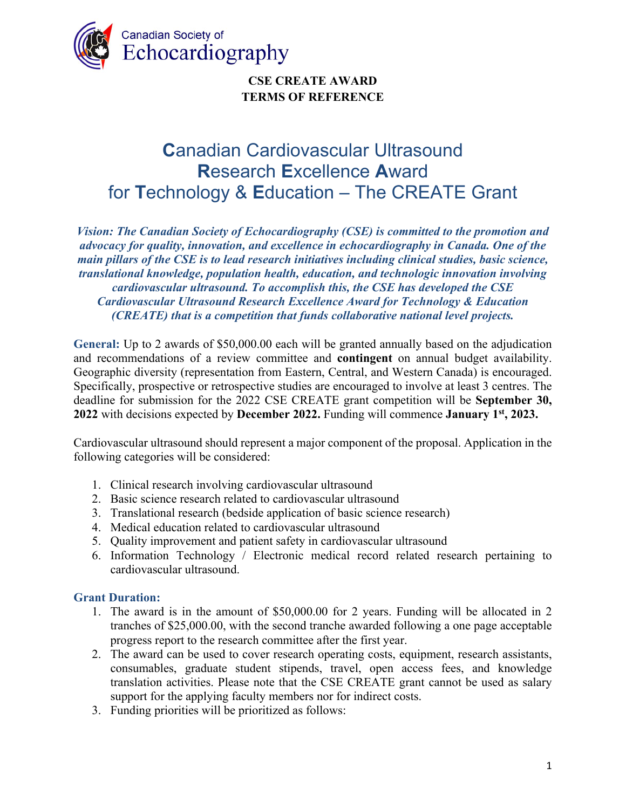

# **C**anadian Cardiovascular Ultrasound **R**esearch **E**xcellence **A**ward for **T**echnology & **E**ducation – The CREATE Grant

*Vision: The Canadian Society of Echocardiography (CSE) is committed to the promotion and advocacy for quality, innovation, and excellence in echocardiography in Canada. One of the main pillars of the CSE is to lead research initiatives including clinical studies, basic science, translational knowledge, population health, education, and technologic innovation involving cardiovascular ultrasound. To accomplish this, the CSE has developed the CSE Cardiovascular Ultrasound Research Excellence Award for Technology & Education (CREATE) that is a competition that funds collaborative national level projects.*

**General:** Up to 2 awards of \$50,000.00 each will be granted annually based on the adjudication and recommendations of a review committee and **contingent** on annual budget availability. Geographic diversity (representation from Eastern, Central, and Western Canada) is encouraged. Specifically, prospective or retrospective studies are encouraged to involve at least 3 centres. The deadline for submission for the 2022 CSE CREATE grant competition will be **September 30, 2022** with decisions expected by **December 2022.** Funding will commence **January 1st, 2023.**

Cardiovascular ultrasound should represent a major component of the proposal. Application in the following categories will be considered:

- 1. Clinical research involving cardiovascular ultrasound
- 2. Basic science research related to cardiovascular ultrasound
- 3. Translational research (bedside application of basic science research)
- 4. Medical education related to cardiovascular ultrasound
- 5. Quality improvement and patient safety in cardiovascular ultrasound
- 6. Information Technology / Electronic medical record related research pertaining to cardiovascular ultrasound.

#### **Grant Duration:**

- 1. The award is in the amount of \$50,000.00 for 2 years. Funding will be allocated in 2 tranches of \$25,000.00, with the second tranche awarded following a one page acceptable progress report to the research committee after the first year.
- 2. The award can be used to cover research operating costs, equipment, research assistants, consumables, graduate student stipends, travel, open access fees, and knowledge translation activities. Please note that the CSE CREATE grant cannot be used as salary support for the applying faculty members nor for indirect costs.
- 3. Funding priorities will be prioritized as follows: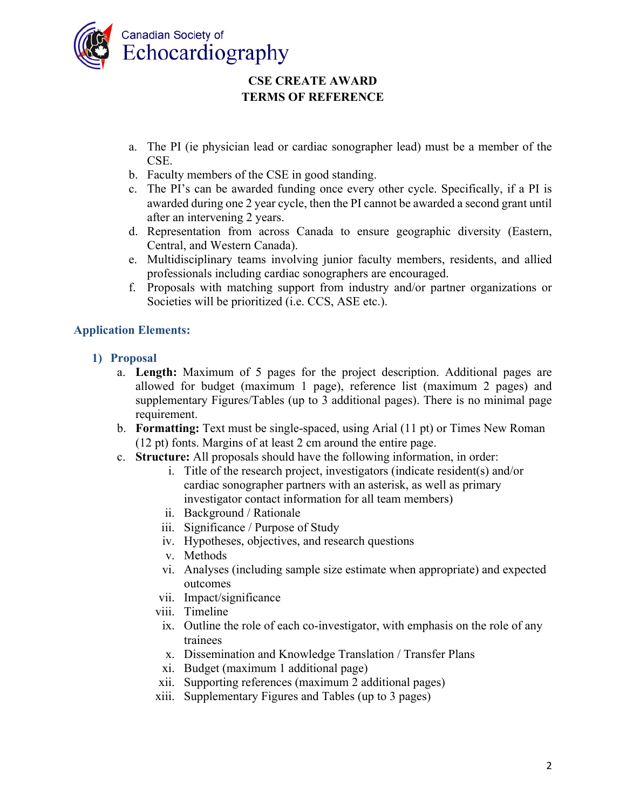

- a. The PI (ie physician lead or cardiac sonographer lead) must be a member of the CSE.
- b. Faculty members of the CSE in good standing.
- c. The PI's can be awarded funding once every other cycle. Specifically, if a PI is awarded during one 2 year cycle, then the PI cannot be awarded a second grant until after an intervening 2 years.
- d. Representation from across Canada to ensure geographic diversity (Eastern, Central, and Western Canada).
- e. Multidisciplinary teams involving junior faculty members, residents, and allied professionals including cardiac sonographers are encouraged.
- f. Proposals with matching support from industry and/or partner organizations or Societies will be prioritized (i.e. CCS, ASE etc.).

#### **Application Elements:**

- **1) Proposal** 
	- a. **Length:** Maximum of 5 pages for the project description. Additional pages are allowed for budget (maximum 1 page), reference list (maximum 2 pages) and supplementary Figures/Tables (up to 3 additional pages). There is no minimal page requirement.
	- b. **Formatting:** Text must be single-spaced, using Arial (11 pt) or Times New Roman (12 pt) fonts. Margins of at least 2 cm around the entire page.
	- c. **Structure:** All proposals should have the following information, in order:
		- i. Title of the research project, investigators (indicate resident(s) and/or cardiac sonographer partners with an asterisk, as well as primary investigator contact information for all team members)
		- ii. Background / Rationale
		- iii. Significance / Purpose of Study
		- iv. Hypotheses, objectives, and research questions
		- v. Methods
		- vi. Analyses (including sample size estimate when appropriate) and expected outcomes
		- vii. Impact/significance
		- viii. Timeline
			- ix. Outline the role of each co-investigator, with emphasis on the role of any trainees
			- x. Dissemination and Knowledge Translation / Transfer Plans
		- xi. Budget (maximum 1 additional page)
		- xii. Supporting references (maximum 2 additional pages)
		- xiii. Supplementary Figures and Tables (up to 3 pages)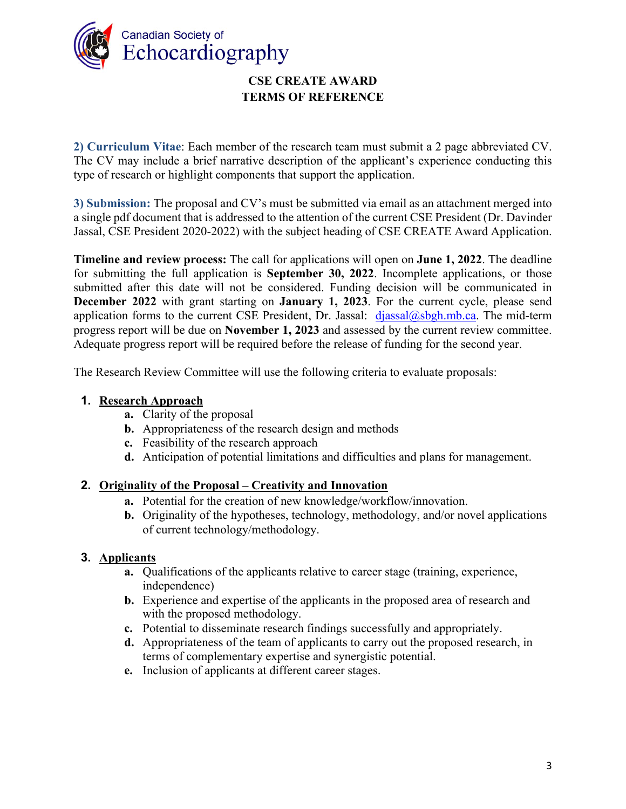

**2) Curriculum Vitae**: Each member of the research team must submit a 2 page abbreviated CV. The CV may include a brief narrative description of the applicant's experience conducting this type of research or highlight components that support the application.

**3) Submission:** The proposal and CV's must be submitted via email as an attachment merged into a single pdf document that is addressed to the attention of the current CSE President (Dr. Davinder Jassal, CSE President 2020-2022) with the subject heading of CSE CREATE Award Application.

**Timeline and review process:** The call for applications will open on **June 1, 2022**. The deadline for submitting the full application is **September 30, 2022**. Incomplete applications, or those submitted after this date will not be considered. Funding decision will be communicated in **December 2022** with grant starting on **January 1, 2023**. For the current cycle, please send application forms to the current CSE President, Dr. Jassal:  $diassal@sbbnmb.ca.$  The mid-term progress report will be due on **November 1, 2023** and assessed by the current review committee. Adequate progress report will be required before the release of funding for the second year.

The Research Review Committee will use the following criteria to evaluate proposals:

## **1. Research Approach**

- **a.** Clarity of the proposal
- **b.** Appropriateness of the research design and methods
- **c.** Feasibility of the research approach
- **d.** Anticipation of potential limitations and difficulties and plans for management.

#### **2. Originality of the Proposal – Creativity and Innovation**

- **a.** Potential for the creation of new knowledge/workflow/innovation.
- **b.** Originality of the hypotheses, technology, methodology, and/or novel applications of current technology/methodology.

#### **3. Applicants**

- **a.** Qualifications of the applicants relative to career stage (training, experience, independence)
- **b.** Experience and expertise of the applicants in the proposed area of research and with the proposed methodology.
- **c.** Potential to disseminate research findings successfully and appropriately.
- **d.** Appropriateness of the team of applicants to carry out the proposed research, in terms of complementary expertise and synergistic potential.
- **e.** Inclusion of applicants at different career stages.